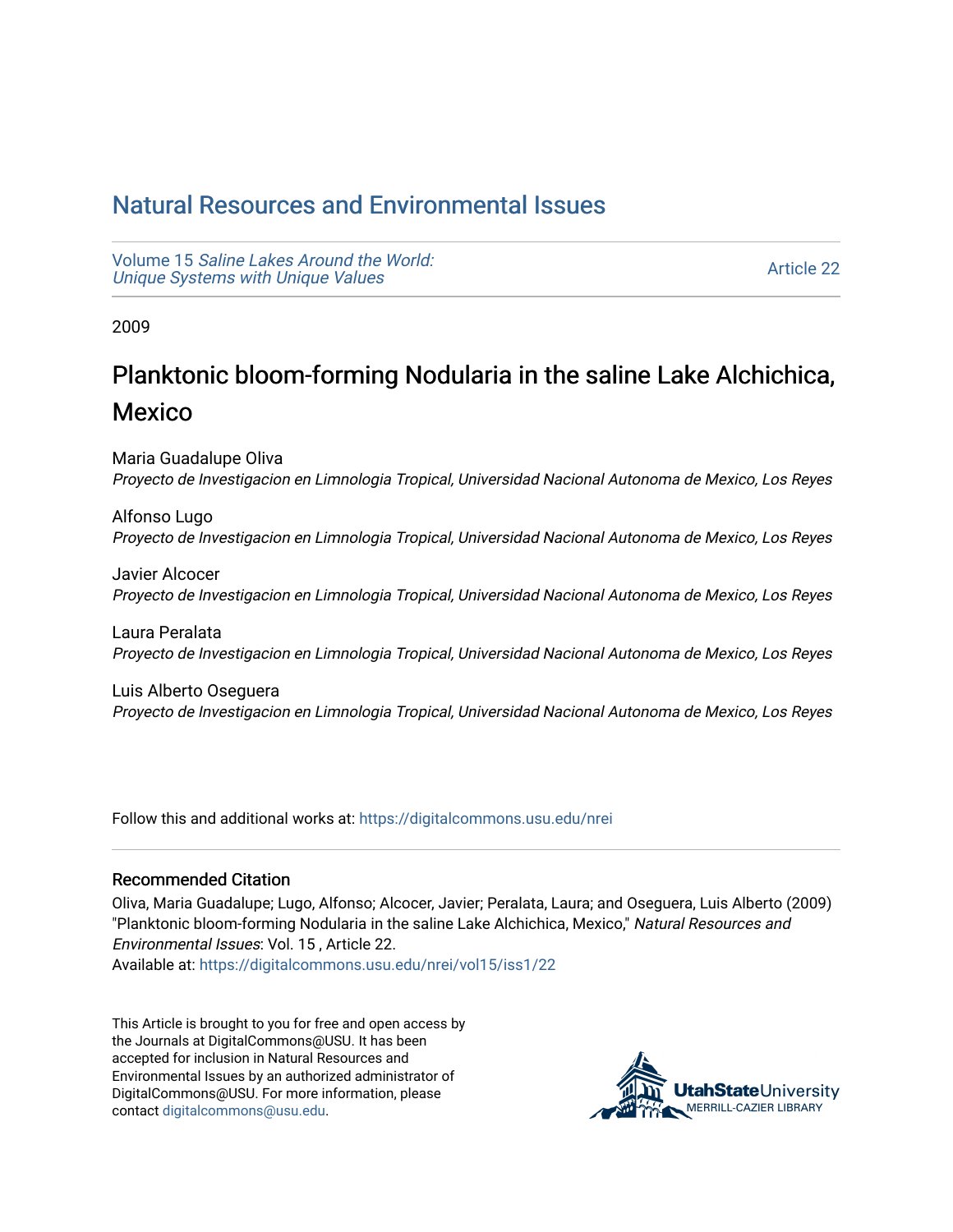## [Natural Resources and Environmental Issues](https://digitalcommons.usu.edu/nrei)

Volume 15 [Saline Lakes Around the World:](https://digitalcommons.usu.edu/nrei/vol15)  [Unique Systems with Unique Values](https://digitalcommons.usu.edu/nrei/vol15) 

[Article 22](https://digitalcommons.usu.edu/nrei/vol15/iss1/22) 

2009

# Planktonic bloom-forming Nodularia in the saline Lake Alchichica, Mexico

Maria Guadalupe Oliva Proyecto de Investigacion en Limnologia Tropical, Universidad Nacional Autonoma de Mexico, Los Reyes

Alfonso Lugo Proyecto de Investigacion en Limnologia Tropical, Universidad Nacional Autonoma de Mexico, Los Reyes

Javier Alcocer Proyecto de Investigacion en Limnologia Tropical, Universidad Nacional Autonoma de Mexico, Los Reyes

Laura Peralata Proyecto de Investigacion en Limnologia Tropical, Universidad Nacional Autonoma de Mexico, Los Reyes

Luis Alberto Oseguera Proyecto de Investigacion en Limnologia Tropical, Universidad Nacional Autonoma de Mexico, Los Reyes

Follow this and additional works at: [https://digitalcommons.usu.edu/nrei](https://digitalcommons.usu.edu/nrei?utm_source=digitalcommons.usu.edu%2Fnrei%2Fvol15%2Fiss1%2F22&utm_medium=PDF&utm_campaign=PDFCoverPages) 

## Recommended Citation

Oliva, Maria Guadalupe; Lugo, Alfonso; Alcocer, Javier; Peralata, Laura; and Oseguera, Luis Alberto (2009) "Planktonic bloom-forming Nodularia in the saline Lake Alchichica, Mexico," Natural Resources and Environmental Issues: Vol. 15 , Article 22.

Available at: [https://digitalcommons.usu.edu/nrei/vol15/iss1/22](https://digitalcommons.usu.edu/nrei/vol15/iss1/22?utm_source=digitalcommons.usu.edu%2Fnrei%2Fvol15%2Fiss1%2F22&utm_medium=PDF&utm_campaign=PDFCoverPages)

This Article is brought to you for free and open access by the Journals at DigitalCommons@USU. It has been accepted for inclusion in Natural Resources and Environmental Issues by an authorized administrator of DigitalCommons@USU. For more information, please contact [digitalcommons@usu.edu](mailto:digitalcommons@usu.edu).

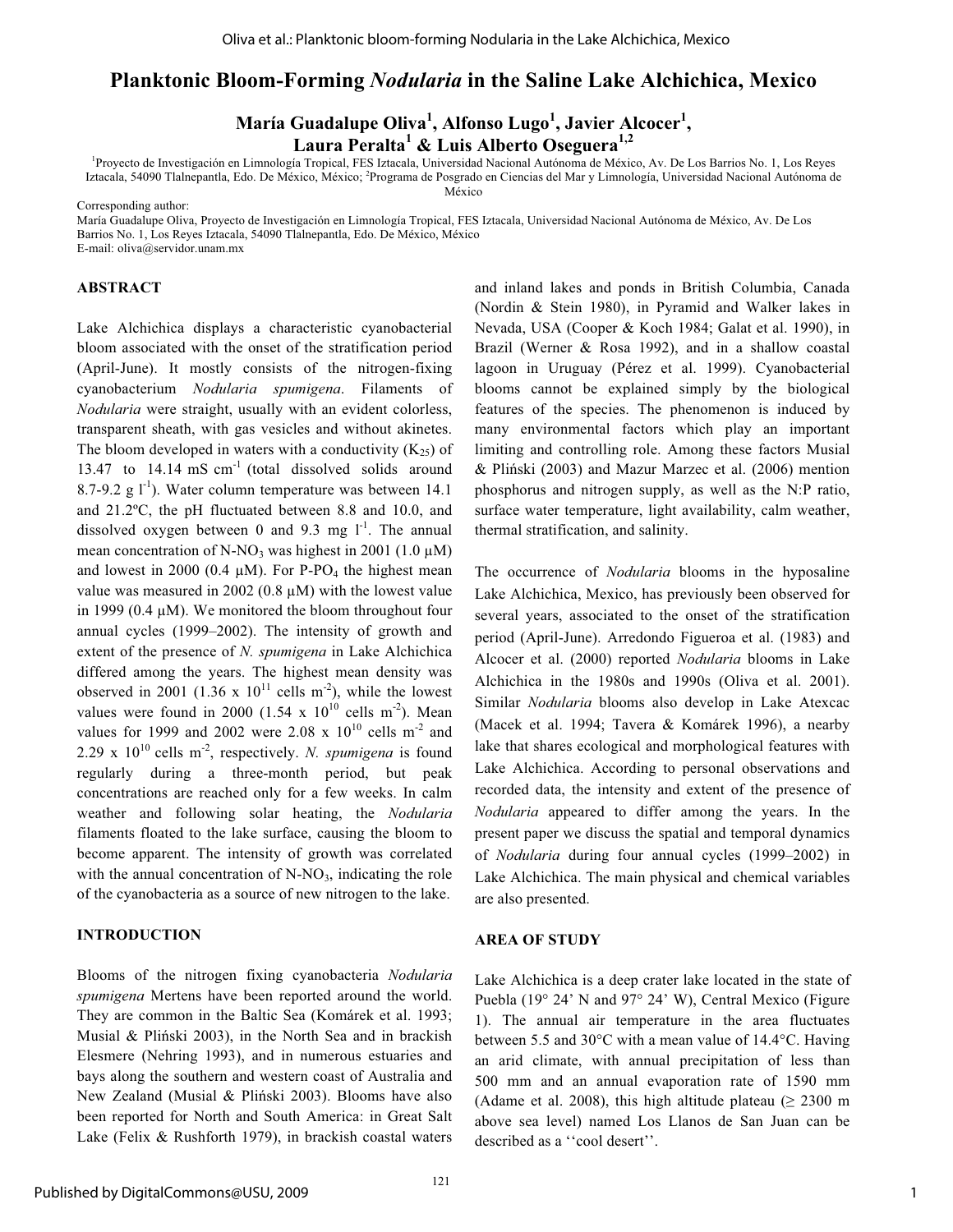## **Planktonic Bloom-Forming** *Nodularia* **in the Saline Lake Alchichica, Mexico**

**María Guadalupe Oliva1 , Alfonso Lugo<sup>1</sup> , Javier Alcocer1 , Laura Peralta1 & Luis Alberto Oseguera1,2**

1 Proyecto de Investigación en Limnología Tropical, FES Iztacala, Universidad Nacional Autónoma de México, Av. De Los Barrios No. 1, Los Reyes Iztacala, 54090 Tlalnepantla, Edo. De México, México; <sup>2</sup>Programa de Posgrado en Ciencias del Mar y Limnología, Universidad Nacional Autónoma de México

Corresponding author:

María Guadalupe Oliva, Proyecto de Investigación en Limnología Tropical, FES Iztacala, Universidad Nacional Autónoma de México, Av. De Los Barrios No. 1, Los Reyes Iztacala, 54090 Tlalnepantla, Edo. De México, México

E-mail: oliva@servidor.unam.mx

#### **ABSTRACT**

Lake Alchichica displays a characteristic cyanobacterial bloom associated with the onset of the stratification period (April-June). It mostly consists of the nitrogen-fixing cyanobacterium *Nodularia spumigena*. Filaments of *Nodularia* were straight, usually with an evident colorless, transparent sheath, with gas vesicles and without akinetes. The bloom developed in waters with a conductivity  $(K_{25})$  of 13.47 to 14.14 mS cm<sup>-1</sup> (total dissolved solids around 8.7-9.2 g  $1^{-1}$ ). Water column temperature was between 14.1 and 21.2ºC, the pH fluctuated between 8.8 and 10.0, and dissolved oxygen between 0 and 9.3 mg  $1^{-1}$ . The annual mean concentration of N-NO<sub>3</sub> was highest in 2001 (1.0  $\mu$ M) and lowest in 2000 (0.4  $\mu$ M). For P-PO<sub>4</sub> the highest mean value was measured in 2002 (0.8  $\mu$ M) with the lowest value in 1999 (0.4  $\mu$ M). We monitored the bloom throughout four annual cycles (1999–2002). The intensity of growth and extent of the presence of *N. spumigena* in Lake Alchichica differed among the years. The highest mean density was observed in 2001 (1.36 x  $10^{11}$  cells m<sup>-2</sup>), while the lowest values were found in 2000 (1.54 x  $10^{10}$  cells m<sup>-2</sup>). Mean values for 1999 and 2002 were 2.08 x  $10^{10}$  cells m<sup>-2</sup> and 2.29 x  $10^{10}$  cells m<sup>-2</sup>, respectively. *N. spumigena* is found regularly during a three-month period, but peak concentrations are reached only for a few weeks. In calm weather and following solar heating, the *Nodularia* filaments floated to the lake surface, causing the bloom to become apparent. The intensity of growth was correlated with the annual concentration of  $N-NO<sub>3</sub>$ , indicating the role of the cyanobacteria as a source of new nitrogen to the lake.

#### **INTRODUCTION**

Blooms of the nitrogen fixing cyanobacteria *Nodularia spumigena* Mertens have been reported around the world. They are common in the Baltic Sea (Komárek et al. 1993; Musial & Pliński 2003), in the North Sea and in brackish Elesmere (Nehring 1993), and in numerous estuaries and bays along the southern and western coast of Australia and New Zealand (Musial & Pliński 2003). Blooms have also been reported for North and South America: in Great Salt Lake (Felix & Rushforth 1979), in brackish coastal waters and inland lakes and ponds in British Columbia, Canada (Nordin & Stein 1980), in Pyramid and Walker lakes in Nevada, USA (Cooper & Koch 1984; Galat et al. 1990), in Brazil (Werner & Rosa 1992), and in a shallow coastal lagoon in Uruguay (Pérez et al. 1999). Cyanobacterial blooms cannot be explained simply by the biological features of the species. The phenomenon is induced by many environmental factors which play an important limiting and controlling role. Among these factors Musial & Pliski (2003) and Mazur Marzec et al. (2006) mention phosphorus and nitrogen supply, as well as the N:P ratio, surface water temperature, light availability, calm weather, thermal stratification, and salinity.

The occurrence of *Nodularia* blooms in the hyposaline Lake Alchichica, Mexico, has previously been observed for several years, associated to the onset of the stratification period (April-June). Arredondo Figueroa et al. (1983) and Alcocer et al. (2000) reported *Nodularia* blooms in Lake Alchichica in the 1980s and 1990s (Oliva et al. 2001). Similar *Nodularia* blooms also develop in Lake Atexcac (Macek et al. 1994; Tavera & Komárek 1996), a nearby lake that shares ecological and morphological features with Lake Alchichica. According to personal observations and recorded data, the intensity and extent of the presence of *Nodularia* appeared to differ among the years. In the present paper we discuss the spatial and temporal dynamics of *Nodularia* during four annual cycles (1999–2002) in Lake Alchichica. The main physical and chemical variables are also presented.

#### **AREA OF STUDY**

Lake Alchichica is a deep crater lake located in the state of Puebla (19° 24' N and 97° 24' W), Central Mexico (Figure 1). The annual air temperature in the area fluctuates between 5.5 and 30°C with a mean value of 14.4°C. Having an arid climate, with annual precipitation of less than 500 mm and an annual evaporation rate of 1590 mm (Adame et al. 2008), this high altitude plateau ( $\geq 2300$  m above sea level) named Los Llanos de San Juan can be described as a ''cool desert''.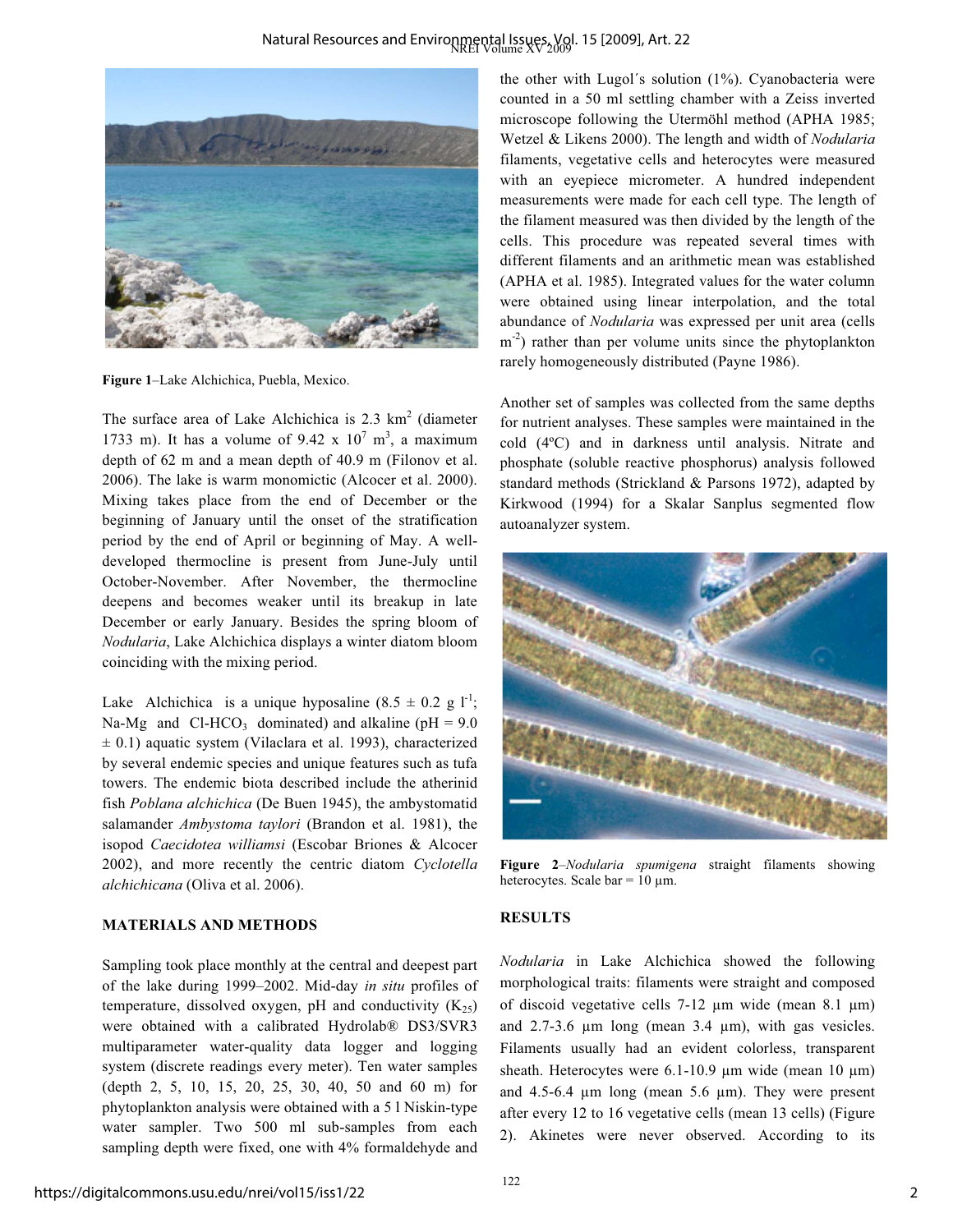

**Figure 1**–Lake Alchichica, Puebla, Mexico.

The surface area of Lake Alchichica is  $2.3 \text{ km}^2$  (diameter 1733 m). It has a volume of 9.42 x  $10^7$  m<sup>3</sup>, a maximum depth of 62 m and a mean depth of 40.9 m (Filonov et al. 2006). The lake is warm monomictic (Alcocer et al. 2000). Mixing takes place from the end of December or the beginning of January until the onset of the stratification period by the end of April or beginning of May. A welldeveloped thermocline is present from June-July until October-November. After November, the thermocline deepens and becomes weaker until its breakup in late December or early January. Besides the spring bloom of *Nodularia*, Lake Alchichica displays a winter diatom bloom coinciding with the mixing period.

Lake Alchichica is a unique hyposaline  $(8.5 \pm 0.2 \text{ g } l^{-1})$ ; Na-Mg and Cl-HCO<sub>3</sub> dominated) and alkaline ( $pH = 9.0$  $\pm$  0.1) aquatic system (Vilaclara et al. 1993), characterized by several endemic species and unique features such as tufa towers. The endemic biota described include the atherinid fish *Poblana alchichica* (De Buen 1945), the ambystomatid salamander *Ambystoma taylori* (Brandon et al. 1981), the isopod *Caecidotea williamsi* (Escobar Briones & Alcocer 2002), and more recently the centric diatom *Cyclotella alchichicana* (Oliva et al. 2006).

## **MATERIALS AND METHODS**

Sampling took place monthly at the central and deepest part of the lake during 1999–2002. Mid-day *in situ* profiles of temperature, dissolved oxygen, pH and conductivity  $(K_{25})$ were obtained with a calibrated Hydrolab® DS3/SVR3 multiparameter water-quality data logger and logging system (discrete readings every meter). Ten water samples (depth 2, 5, 10, 15, 20, 25, 30, 40, 50 and 60 m) for phytoplankton analysis were obtained with a 5 l Niskin-type water sampler. Two 500 ml sub-samples from each sampling depth were fixed, one with 4% formaldehyde and

the other with Lugol´s solution (1%). Cyanobacteria were counted in a 50 ml settling chamber with a Zeiss inverted microscope following the Utermöhl method (APHA 1985; Wetzel & Likens 2000). The length and width of *Nodularia* filaments, vegetative cells and heterocytes were measured with an eyepiece micrometer. A hundred independent measurements were made for each cell type. The length of the filament measured was then divided by the length of the cells. This procedure was repeated several times with different filaments and an arithmetic mean was established (APHA et al. 1985). Integrated values for the water column were obtained using linear interpolation, and the total abundance of *Nodularia* was expressed per unit area (cells  $m<sup>-2</sup>$ ) rather than per volume units since the phytoplankton rarely homogeneously distributed (Payne 1986).

Another set of samples was collected from the same depths for nutrient analyses. These samples were maintained in the cold (4ºC) and in darkness until analysis. Nitrate and phosphate (soluble reactive phosphorus) analysis followed standard methods (Strickland & Parsons 1972), adapted by Kirkwood (1994) for a Skalar Sanplus segmented flow autoanalyzer system.



**Figure 2**–*Nodularia spumigena* straight filaments showing heterocytes. Scale bar =  $10 \mu m$ .

### **RESULTS**

*Nodularia* in Lake Alchichica showed the following morphological traits: filaments were straight and composed of discoid vegetative cells  $7-12 \mu m$  wide (mean  $8.1 \mu m$ ) and  $2.7 - 3.6 \mu m$  long (mean  $3.4 \mu m$ ), with gas vesicles. Filaments usually had an evident colorless, transparent sheath. Heterocytes were  $6.1\n-10.9 \mu m$  wide (mean 10  $\mu$ m) and  $4.5\n-6.4 \mu m$  long (mean  $5.6 \mu m$ ). They were present after every 12 to 16 vegetative cells (mean 13 cells) (Figure 2). Akinetes were never observed. According to its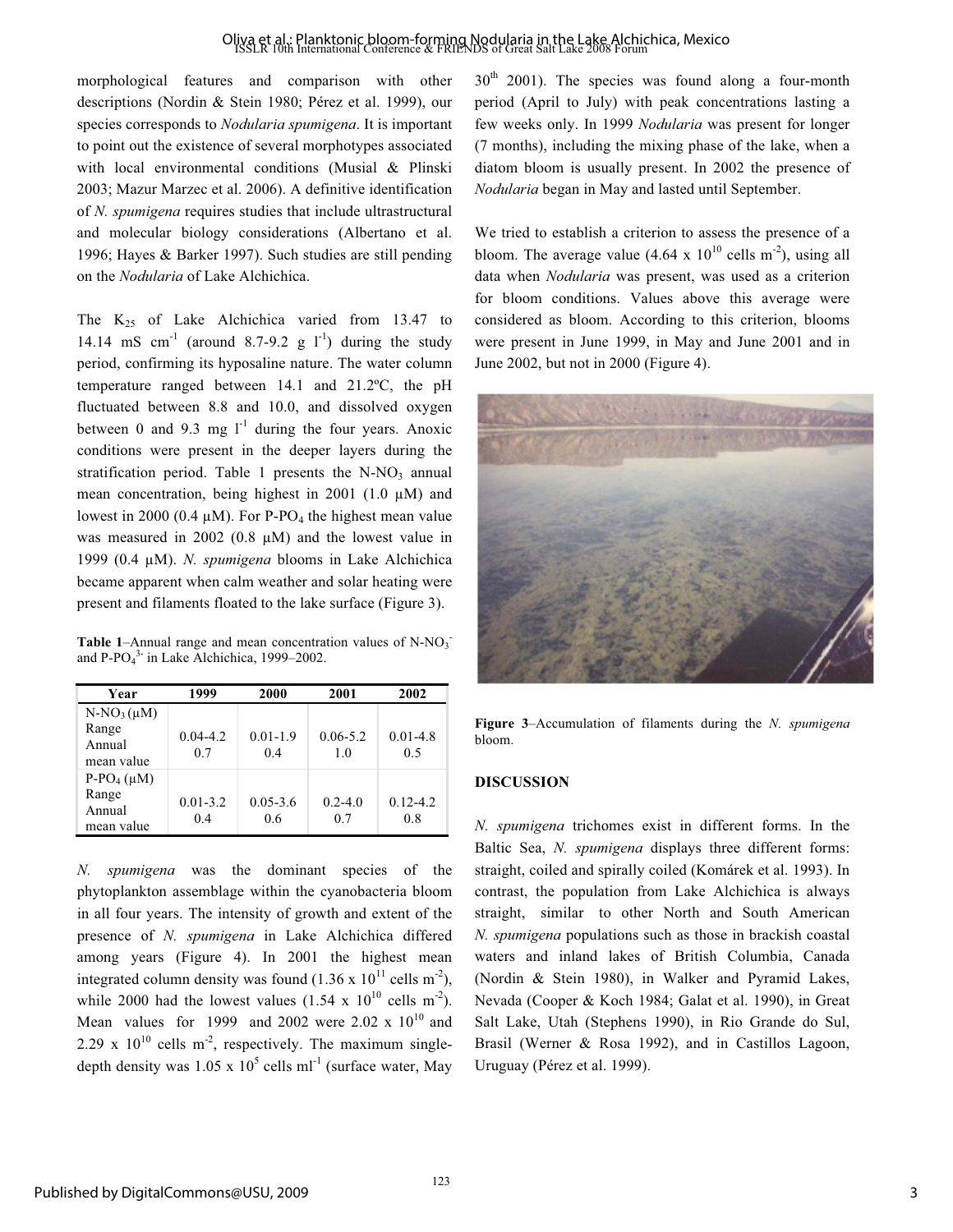## Oliva et al.: Planktonic bloom-forming Nodularia in the Lake Alchichica, Mexico<br>ISSLR 10th International Conference & FRIENDS of Great Salt Lake 2008 Forum

morphological features and comparison with other descriptions (Nordin & Stein 1980; Pérez et al. 1999), our species corresponds to *Nodularia spumigena*. It is important to point out the existence of several morphotypes associated with local environmental conditions (Musial & Plinski 2003; Mazur Marzec et al. 2006). A definitive identification of *N. spumigena* requires studies that include ultrastructural and molecular biology considerations (Albertano et al. 1996; Hayes & Barker 1997). Such studies are still pending on the *Nodularia* of Lake Alchichica.

The  $K_{25}$  of Lake Alchichica varied from 13.47 to 14.14 mS cm<sup>-1</sup> (around 8.7-9.2 g  $I<sup>-1</sup>$ ) during the study period, confirming its hyposaline nature. The water column temperature ranged between 14.1 and 21.2ºC, the pH fluctuated between 8.8 and 10.0, and dissolved oxygen between 0 and 9.3 mg  $1^{-1}$  during the four years. Anoxic conditions were present in the deeper layers during the stratification period. Table 1 presents the  $N-NO<sub>3</sub>$  annual mean concentration, being highest in 2001 (1.0  $\mu$ M) and lowest in 2000 (0.4  $\mu$ M). For P-PO<sub>4</sub> the highest mean value was measured in 2002 (0.8  $\mu$ M) and the lowest value in 1999 (0.4 µM). *N. spumigena* blooms in Lake Alchichica became apparent when calm weather and solar heating were present and filaments floated to the lake surface (Figure 3).

**Table 1–Annual range and mean concentration values of**  $N-NO<sub>3</sub>$ **.** and  $P-PO<sub>4</sub><sup>3</sup>$  in Lake Alchichica, 1999–2002.

| Year                                             | 1999                | 2000                | 2001                | 2002                |
|--------------------------------------------------|---------------------|---------------------|---------------------|---------------------|
| $N-NO_3(\mu M)$<br>Range<br>Annual<br>mean value | $0.04 - 4.2$<br>0.7 | $0.01 - 1.9$<br>0.4 | $0.06 - 5.2$<br>1.0 | $0.01 - 4.8$<br>0.5 |
| $P-PO4(\mu M)$<br>Range<br>Annual<br>mean value  | $0.01 - 3.2$<br>0.4 | $0.05 - 3.6$<br>0.6 | $0.2 - 4.0$<br>0.7  | $0.12 - 4.2$<br>0.8 |

*N. spumigena* was the dominant species of the phytoplankton assemblage within the cyanobacteria bloom in all four years. The intensity of growth and extent of the presence of *N. spumigena* in Lake Alchichica differed among years (Figure 4). In 2001 the highest mean integrated column density was found  $(1.36 \times 10^{11} \text{ cells m}^{-2})$ , while 2000 had the lowest values  $(1.54 \times 10^{10} \text{ cells m}^{-2})$ . Mean values for 1999 and 2002 were 2.02 x  $10^{10}$  and 2.29 x  $10^{10}$  cells m<sup>-2</sup>, respectively. The maximum singledepth density was  $1.05 \times 10^5$  cells ml<sup>-1</sup> (surface water, May  $30<sup>th</sup>$  2001). The species was found along a four-month period (April to July) with peak concentrations lasting a few weeks only. In 1999 *Nodularia* was present for longer (7 months), including the mixing phase of the lake, when a diatom bloom is usually present. In 2002 the presence of *Nodularia* began in May and lasted until September.

We tried to establish a criterion to assess the presence of a bloom. The average value  $(4.64 \times 10^{10} \text{ cells m}^{-2})$ , using all data when *Nodularia* was present, was used as a criterion for bloom conditions. Values above this average were considered as bloom. According to this criterion, blooms were present in June 1999, in May and June 2001 and in June 2002, but not in 2000 (Figure 4).



**Figure 3**–Accumulation of filaments during the *N. spumigena* bloom.

#### **DISCUSSION**

*N. spumigena* trichomes exist in different forms. In the Baltic Sea, *N. spumigena* displays three different forms: straight, coiled and spirally coiled (Komárek et al. 1993). In contrast, the population from Lake Alchichica is always straight, similar to other North and South American *N. spumigena* populations such as those in brackish coastal waters and inland lakes of British Columbia, Canada (Nordin & Stein 1980), in Walker and Pyramid Lakes, Nevada (Cooper & Koch 1984; Galat et al. 1990), in Great Salt Lake, Utah (Stephens 1990), in Rio Grande do Sul, Brasil (Werner & Rosa 1992), and in Castillos Lagoon, Uruguay (Pérez et al. 1999).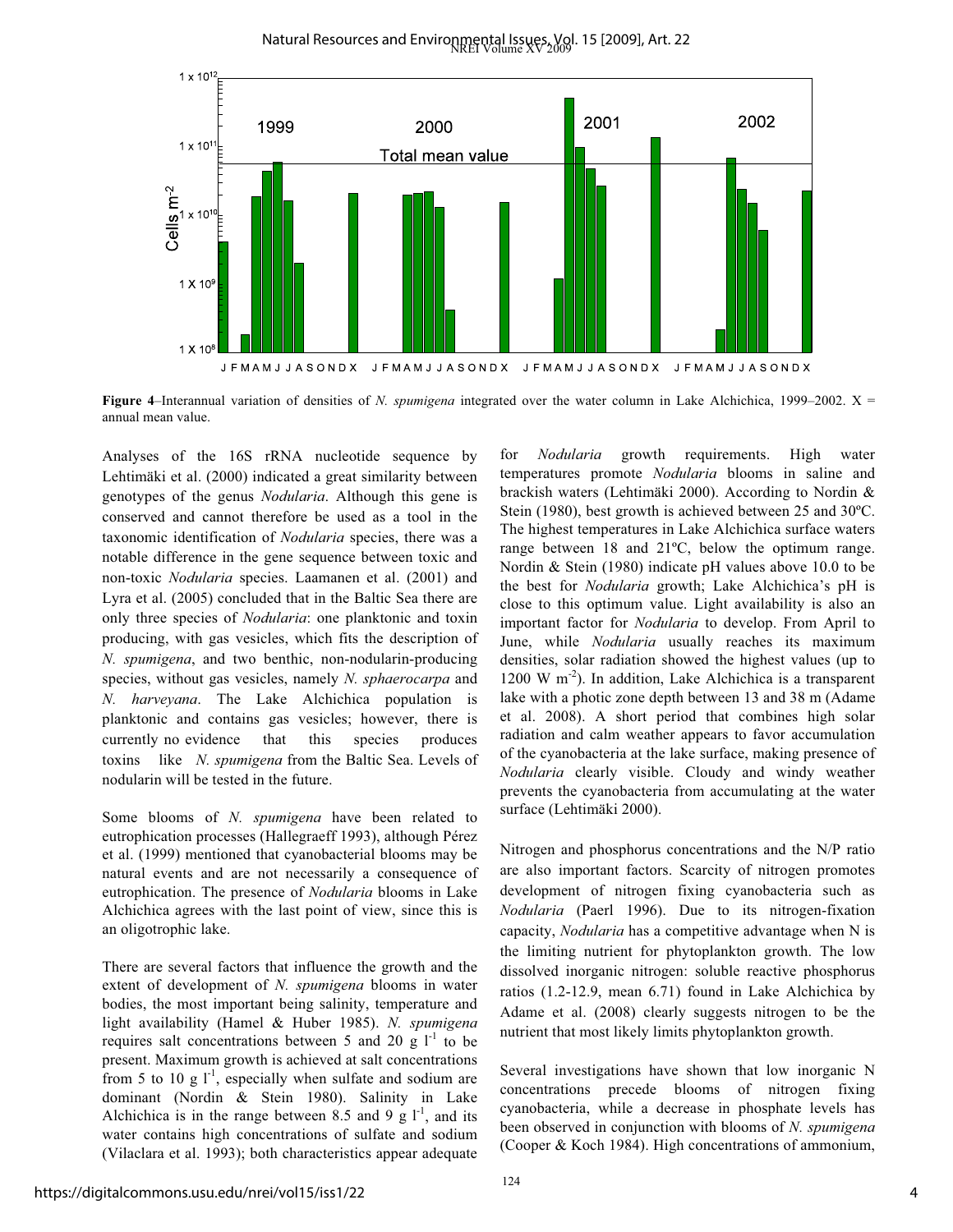Natural Resources and Environmental Issues, Vol. 15 [2009], Art. 22<br>NREI Volume XV 2009. 15 [2009], Art. 22



**Figure 4**–Interannual variation of densities of *N. spumigena* integrated over the water column in Lake Alchichica, 1999–2002. X = annual mean value.

Analyses of the 16S rRNA nucleotide sequence by Lehtimäki et al. (2000) indicated a great similarity between genotypes of the genus *Nodularia*. Although this gene is conserved and cannot therefore be used as a tool in the taxonomic identification of *Nodularia* species, there was a notable difference in the gene sequence between toxic and non-toxic *Nodularia* species. Laamanen et al. (2001) and Lyra et al. (2005) concluded that in the Baltic Sea there are only three species of *Nodularia*: one planktonic and toxin producing, with gas vesicles, which fits the description of *N. spumigena*, and two benthic, non-nodularin-producing species, without gas vesicles, namely *N. sphaerocarpa* and *N. harveyana*. The Lake Alchichica population is planktonic and contains gas vesicles; however, there is currently no evidence that this species produces toxins like *N. spumigena* from the Baltic Sea. Levels of nodularin will be tested in the future.

Some blooms of *N. spumigena* have been related to eutrophication processes (Hallegraeff 1993), although Pérez et al. (1999) mentioned that cyanobacterial blooms may be natural events and are not necessarily a consequence of eutrophication. The presence of *Nodularia* blooms in Lake Alchichica agrees with the last point of view, since this is an oligotrophic lake.

There are several factors that influence the growth and the extent of development of *N. spumigena* blooms in water bodies, the most important being salinity, temperature and light availability (Hamel & Huber 1985). *N. spumigena* requires salt concentrations between 5 and 20 g  $1^{-1}$  to be present. Maximum growth is achieved at salt concentrations from 5 to 10 g  $1^{-1}$ , especially when sulfate and sodium are dominant (Nordin & Stein 1980). Salinity in Lake Alchichica is in the range between 8.5 and 9 g  $1^{-1}$ , and its water contains high concentrations of sulfate and sodium (Vilaclara et al. 1993); both characteristics appear adequate

for *Nodularia* growth requirements. High water temperatures promote *Nodularia* blooms in saline and brackish waters (Lehtimäki 2000). According to Nordin & Stein (1980), best growth is achieved between 25 and 30ºC. The highest temperatures in Lake Alchichica surface waters range between 18 and 21ºC, below the optimum range. Nordin & Stein (1980) indicate pH values above 10.0 to be the best for *Nodularia* growth; Lake Alchichica's pH is close to this optimum value. Light availability is also an important factor for *Nodularia* to develop. From April to June, while *Nodularia* usually reaches its maximum densities, solar radiation showed the highest values (up to 1200 W  $m^{-2}$ ). In addition, Lake Alchichica is a transparent lake with a photic zone depth between 13 and 38 m (Adame et al. 2008). A short period that combines high solar radiation and calm weather appears to favor accumulation of the cyanobacteria at the lake surface, making presence of *Nodularia* clearly visible. Cloudy and windy weather prevents the cyanobacteria from accumulating at the water surface (Lehtimäki 2000).

Nitrogen and phosphorus concentrations and the N/P ratio are also important factors. Scarcity of nitrogen promotes development of nitrogen fixing cyanobacteria such as *Nodularia* (Paerl 1996). Due to its nitrogen-fixation capacity, *Nodularia* has a competitive advantage when N is the limiting nutrient for phytoplankton growth. The low dissolved inorganic nitrogen: soluble reactive phosphorus ratios (1.2-12.9, mean 6.71) found in Lake Alchichica by Adame et al. (2008) clearly suggests nitrogen to be the nutrient that most likely limits phytoplankton growth.

Several investigations have shown that low inorganic N concentrations precede blooms of nitrogen fixing cyanobacteria, while a decrease in phosphate levels has been observed in conjunction with blooms of *N. spumigena* (Cooper & Koch 1984). High concentrations of ammonium,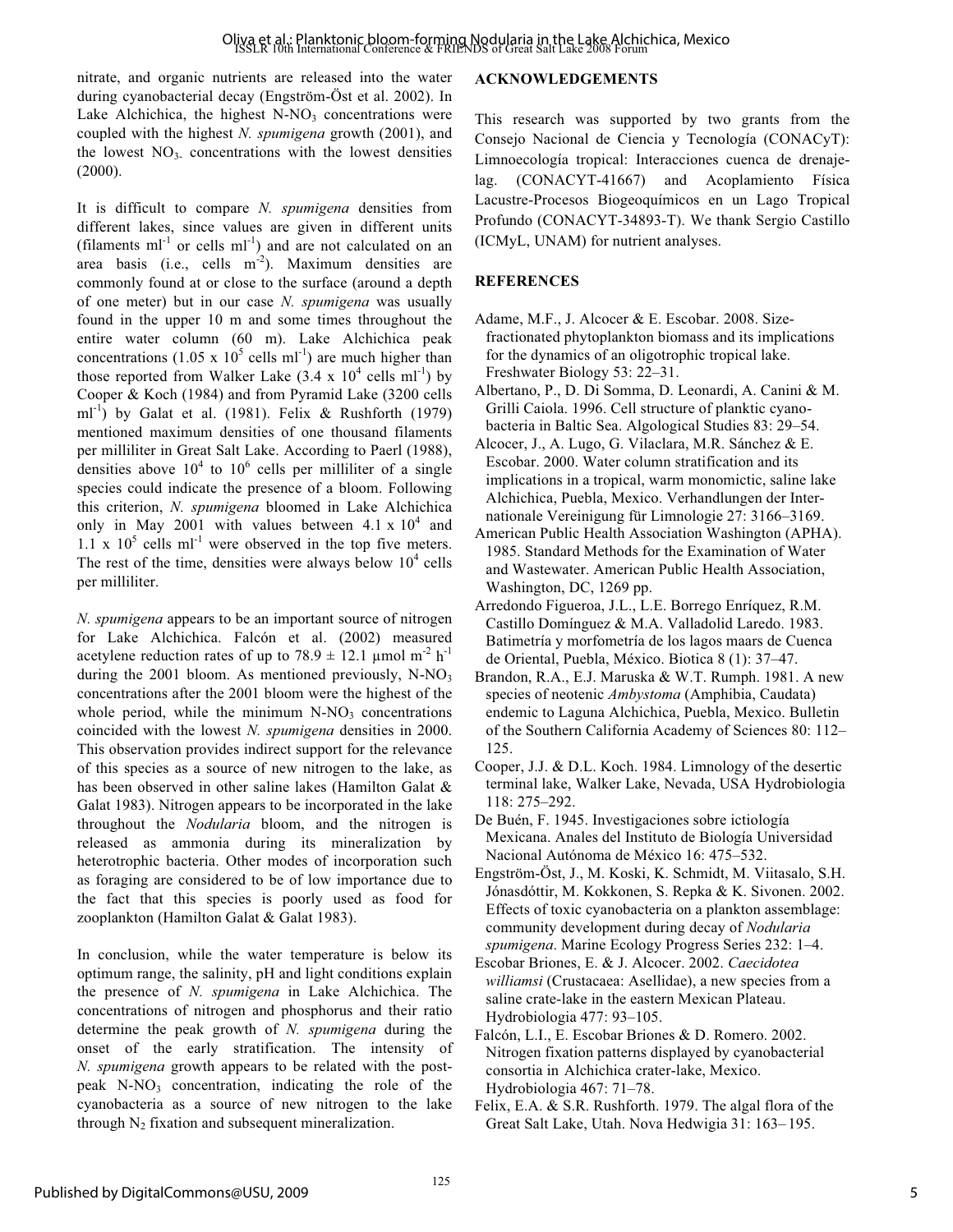nitrate, and organic nutrients are released into the water during cyanobacterial decay (Engström-Öst et al. 2002). In Lake Alchichica, the highest  $N-NO<sub>3</sub>$  concentrations were coupled with the highest *N. spumigena* growth (2001), and the lowest  $NO<sub>3</sub>$  concentrations with the lowest densities (2000).

It is difficult to compare *N. spumigena* densities from different lakes, since values are given in different units (filaments  $ml^{-1}$  or cells  $ml^{-1}$ ) and are not calculated on an area basis (i.e., cells  $m<sup>-2</sup>$ ). Maximum densities are commonly found at or close to the surface (around a depth of one meter) but in our case *N. spumigena* was usually found in the upper 10 m and some times throughout the entire water column (60 m). Lake Alchichica peak concentrations  $(1.05 \times 10^5 \text{ cells ml}^{-1})$  are much higher than those reported from Walker Lake  $(3.4 \times 10^4 \text{ cells ml}^{-1})$  by Cooper & Koch (1984) and from Pyramid Lake (3200 cells ml<sup>-1</sup>) by Galat et al. (1981). Felix & Rushforth (1979) mentioned maximum densities of one thousand filaments per milliliter in Great Salt Lake. According to Paerl (1988), densities above  $10^4$  to  $10^6$  cells per milliliter of a single species could indicate the presence of a bloom. Following this criterion, *N. spumigena* bloomed in Lake Alchichica only in May 2001 with values between  $4.1 \times 10^4$  and 1.1 x  $10^5$  cells ml<sup>-1</sup> were observed in the top five meters. The rest of the time, densities were always below  $10^4$  cells per milliliter.

*N. spumigena* appears to be an important source of nitrogen for Lake Alchichica. Falcón et al. (2002) measured acetylene reduction rates of up to  $78.9 \pm 12.1$  µmol m<sup>-2</sup> h<sup>-1</sup> during the 2001 bloom. As mentioned previously,  $N-NO<sub>3</sub>$ concentrations after the 2001 bloom were the highest of the whole period, while the minimum  $N-NO_3$  concentrations coincided with the lowest *N. spumigena* densities in 2000. This observation provides indirect support for the relevance of this species as a source of new nitrogen to the lake, as has been observed in other saline lakes (Hamilton Galat & Galat 1983). Nitrogen appears to be incorporated in the lake throughout the *Nodularia* bloom, and the nitrogen is released as ammonia during its mineralization by heterotrophic bacteria. Other modes of incorporation such as foraging are considered to be of low importance due to the fact that this species is poorly used as food for zooplankton (Hamilton Galat & Galat 1983).

In conclusion, while the water temperature is below its optimum range, the salinity, pH and light conditions explain the presence of *N. spumigena* in Lake Alchichica. The concentrations of nitrogen and phosphorus and their ratio determine the peak growth of *N. spumigena* during the onset of the early stratification. The intensity of *N. spumigena* growth appears to be related with the postpeak N-NO<sub>3</sub> concentration, indicating the role of the cyanobacteria as a source of new nitrogen to the lake through  $N_2$  fixation and subsequent mineralization.

## **ACKNOWLEDGEMENTS**

This research was supported by two grants from the Consejo Nacional de Ciencia y Tecnología (CONACyT): Limnoecología tropical: Interacciones cuenca de drenajelag. (CONACYT-41667) and Acoplamiento Física Lacustre-Procesos Biogeoquímicos en un Lago Tropical Profundo (CONACYT-34893-T). We thank Sergio Castillo (ICMyL, UNAM) for nutrient analyses.

### **REFERENCES**

- Adame, M.F., J. Alcocer & E. Escobar. 2008. Size fractionated phytoplankton biomass and its implications for the dynamics of an oligotrophic tropical lake. Freshwater Biology 53: 22–31.
- Albertano, P., D. Di Somma, D. Leonardi, A. Canini & M. Grilli Caiola. 1996. Cell structure of planktic cyanobacteria in Baltic Sea. Algological Studies 83: 29–54.
- Alcocer, J., A. Lugo, G. Vilaclara, M.R. Sánchez & E. Escobar. 2000. Water column stratification and its implications in a tropical, warm monomictic, saline lake Alchichica, Puebla, Mexico. Verhandlungen der Internationale Vereinigung für Limnologie 27: 3166–3169.
- American Public Health Association Washington (APHA). 1985. Standard Methods for the Examination of Water and Wastewater. American Public Health Association, Washington, DC, 1269 pp.
- Arredondo Figueroa, J.L., L.E. Borrego Enríquez, R.M. Castillo Domínguez & M.A. Valladolid Laredo. 1983. Batimetría y morfometría de los lagos maars de Cuenca de Oriental, Puebla, México. Biotica 8 (1): 37–47.
- Brandon, R.A., E.J. Maruska & W.T. Rumph. 1981. A new species of neotenic *Ambystoma* (Amphibia, Caudata) endemic to Laguna Alchichica, Puebla, Mexico. Bulletin of the Southern California Academy of Sciences 80: 112– 125.
- Cooper, J.J. & D.L. Koch. 1984. Limnology of the desertic terminal lake, Walker Lake, Nevada, USA Hydrobiologia 118: 275–292.
- De Buén, F. 1945. Investigaciones sobre ictiología Mexicana. Anales del Instituto de Biología Universidad Nacional Autónoma de México 16: 475–532.
- Engström-Öst, J., M. Koski, K. Schmidt, M. Viitasalo, S.H. Jónasdóttir, M. Kokkonen, S. Repka & K. Sivonen. 2002. Effects of toxic cyanobacteria on a plankton assemblage: community development during decay of *Nodularia spumigena*. Marine Ecology Progress Series 232: 1–4.
- Escobar Briones, E. & J. Alcocer. 2002. *Caecidotea williamsi* (Crustacaea: Asellidae), a new species from a saline crate-lake in the eastern Mexican Plateau. Hydrobiologia 477: 93–105.
- Falcón, L.I., E. Escobar Briones & D. Romero. 2002. Nitrogen fixation patterns displayed by cyanobacterial consortia in Alchichica crater-lake, Mexico. Hydrobiologia 467: 71–78.
- Felix, E.A. & S.R. Rushforth. 1979. The algal flora of the Great Salt Lake, Utah. Nova Hedwigia 31: 163– 195.